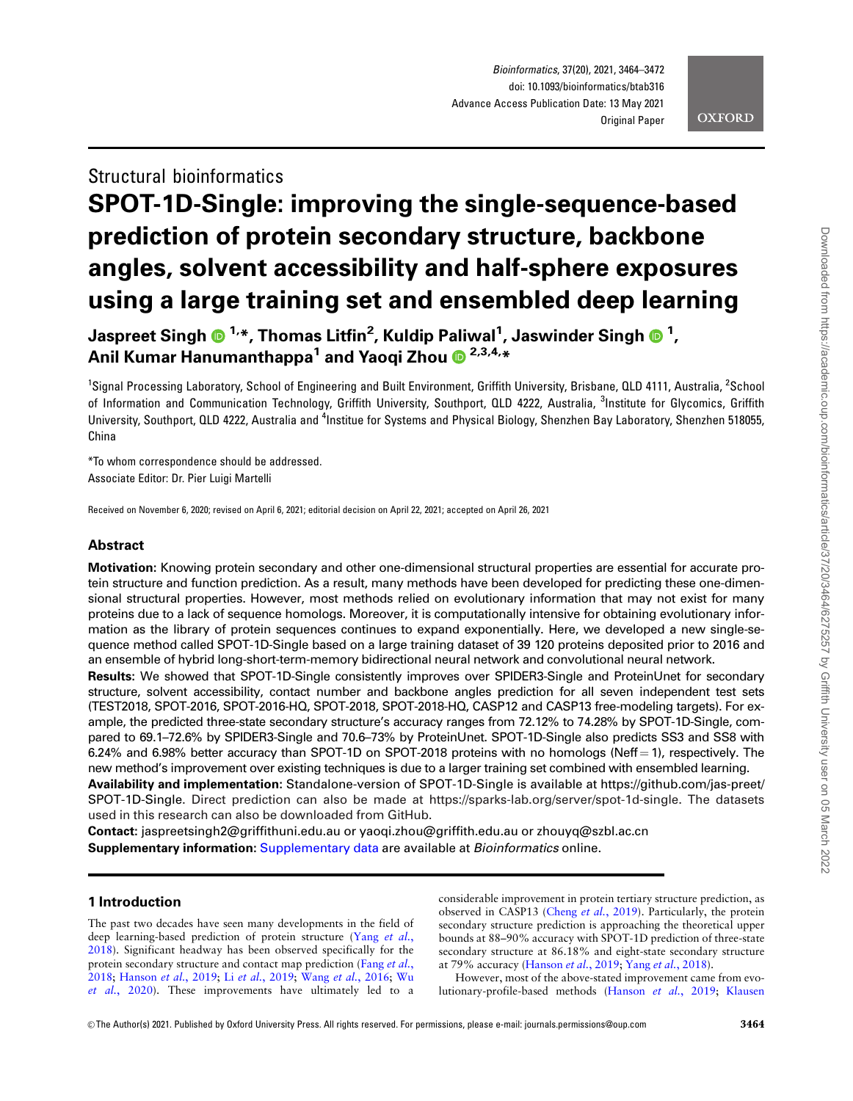# **OXFORD**

# Structural bioinformatics SPOT-1D-Single: improving the single-sequence-based prediction of protein secondary structure, backbone angles, solvent accessibility and half-sphere exposures using a large training set and ensembled deep learning

Jaspreet Singh 1,\*, Thomas Litfin2 , Kuldip Paliwal1 , Jaswinder Singh <sup>1</sup> , Anil Kumar Hanumanthappa<sup>1</sup> and Yaoqi Zhou <sup>02,3,4,\*</sup>

<sup>1</sup>Signal Processing Laboratory, School of Engineering and Built Environment, Griffith University, Brisbane, QLD 4111, Australia, <sup>2</sup>School of Information and Communication Technology, Griffith University, Southport, QLD 4222, Australia, <sup>3</sup>Institute for Glycomics, Griffith University, Southport, QLD 4222, Australia and <sup>4</sup>Institue for Systems and Physical Biology, Shenzhen Bay Laboratory, Shenzhen 518055, China

\*To whom correspondence should be addressed. Associate Editor: Dr. Pier Luigi Martelli

Received on November 6, 2020; revised on April 6, 2021; editorial decision on April 22, 2021; accepted on April 26, 2021

# Abstract

Motivation: Knowing protein secondary and other one-dimensional structural properties are essential for accurate protein structure and function prediction. As a result, many methods have been developed for predicting these one-dimensional structural properties. However, most methods relied on evolutionary information that may not exist for many proteins due to a lack of sequence homologs. Moreover, it is computationally intensive for obtaining evolutionary information as the library of protein sequences continues to expand exponentially. Here, we developed a new single-sequence method called SPOT-1D-Single based on a large training dataset of 39 120 proteins deposited prior to 2016 and an ensemble of hybrid long-short-term-memory bidirectional neural network and convolutional neural network.

Results: We showed that SPOT-1D-Single consistently improves over SPIDER3-Single and ProteinUnet for secondary structure, solvent accessibility, contact number and backbone angles prediction for all seven independent test sets (TEST2018, SPOT-2016, SPOT-2016-HQ, SPOT-2018, SPOT-2018-HQ, CASP12 and CASP13 free-modeling targets). For example, the predicted three-state secondary structure's accuracy ranges from 72.12% to 74.28% by SPOT-1D-Single, compared to 69.1–72.6% by SPIDER3-Single and 70.6–73% by ProteinUnet. SPOT-1D-Single also predicts SS3 and SS8 with 6.24% and 6.98% better accuracy than SPOT-1D on SPOT-2018 proteins with no homologs (Neff = 1), respectively. The new method's improvement over existing techniques is due to a larger training set combined with ensembled learning.

Availability and implementation: Standalone-version of SPOT-1D-Single is available at [https://github.com/jas-preet/](https://github.com/jas-preet/SPOT-1D-Single) [SPOT-1D-Single.](https://github.com/jas-preet/SPOT-1D-Single) Direct prediction can also be made at<https://sparks-lab.org/server/spot-1d-single>. The datasets used in this research can also be downloaded from GitHub.

Contact: jaspreetsingh2@griffithuni.edu.au or yaoqi.zhou@griffith.edu.au or zhouyq@szbl.ac.cn Supplementary information: [Supplementary data](https://academic.oup.com/bioinformatics/article-lookup/doi/10.1093/bioinformatics/btab316#supplementary-data) are available at *Bioinformatics* online.

# 1 Introduction

The past two decades have seen many developments in the field of deep learning-based prediction of protein structure (Yang [et al.](#page-8-0), [2018\)](#page-8-0). Significant headway has been observed specifically for the protein secondary structure and contact map prediction (Fang [et al.](#page-8-0), [2018;](#page-8-0) [Hanson](#page-8-0) et al., 2019; Li et al.[, 2019](#page-8-0); Wang et al.[, 2016;](#page-8-0) [Wu](#page-8-0) et al.[, 2020\)](#page-8-0). These improvements have ultimately led to a considerable improvement in protein tertiary structure prediction, as observed in CASP13 (Cheng et al.[, 2019\)](#page-8-0). Particularly, the protein secondary structure prediction is approaching the theoretical upper bounds at 88–90% accuracy with SPOT-1D prediction of three-state secondary structure at 86.18% and eight-state secondary structure at 79% accuracy [\(Hanson](#page-8-0) et al., 2019; Yang et al.[, 2018\)](#page-8-0).

However, most of the above-stated improvement came from evolutionary-profile-based methods [\(Hanson](#page-8-0) et al., 2019; [Klausen](#page-8-0)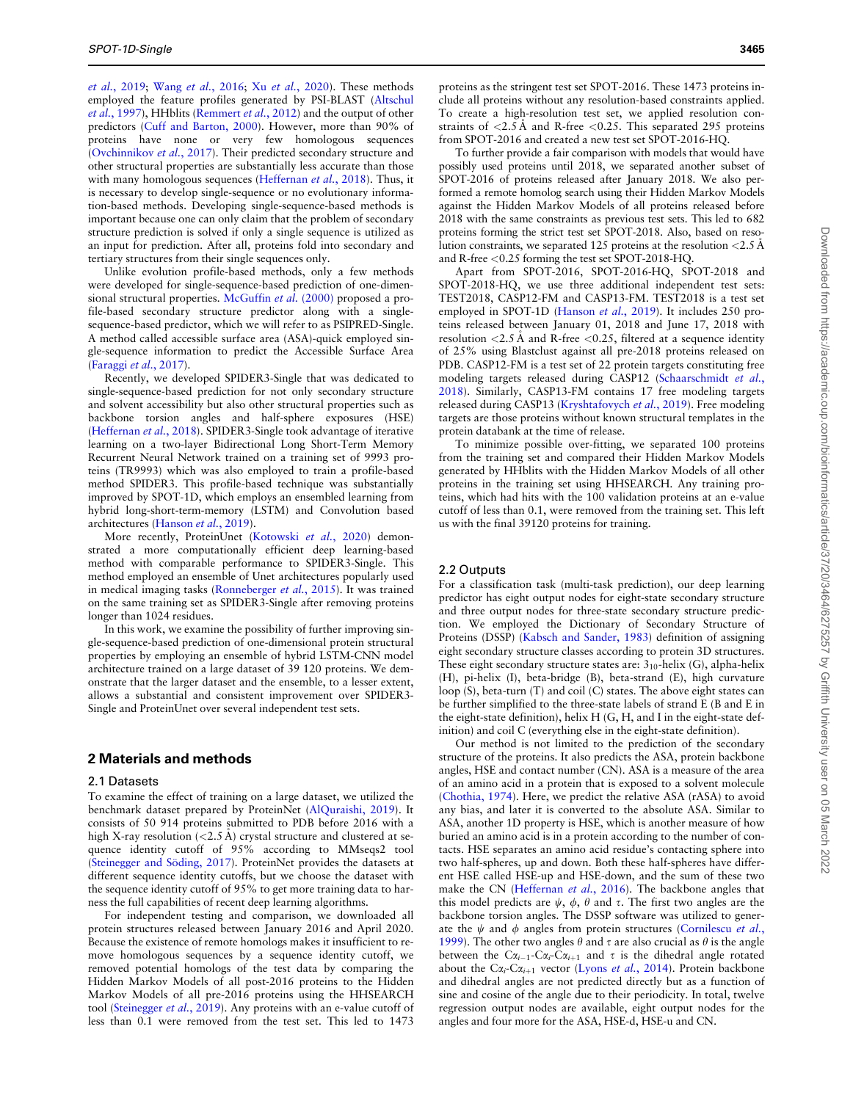et al.[, 2019](#page-8-0); Wang et al.[, 2016](#page-8-0); Xu et al.[, 2020](#page-8-0)). These methods employed the feature profiles generated by PSI-BLAST ([Altschul](#page-7-0) et al.[, 1997\)](#page-7-0), HHblits ([Remmert](#page-8-0) et al., 2012) and the output of other predictors ([Cuff and Barton, 2000\)](#page-8-0). However, more than 90% of proteins have none or very few homologous sequences ([Ovchinnikov](#page-8-0) et al., 2017). Their predicted secondary structure and other structural properties are substantially less accurate than those with many homologous sequences [\(Heffernan](#page-8-0) et al., 2018). Thus, it is necessary to develop single-sequence or no evolutionary information-based methods. Developing single-sequence-based methods is important because one can only claim that the problem of secondary structure prediction is solved if only a single sequence is utilized as an input for prediction. After all, proteins fold into secondary and tertiary structures from their single sequences only.

Unlike evolution profile-based methods, only a few methods were developed for single-sequence-based prediction of one-dimen-sional structural properties. [McGuffin](#page-8-0) et al. (2000) proposed a profile-based secondary structure predictor along with a singlesequence-based predictor, which we will refer to as PSIPRED-Single. A method called accessible surface area (ASA)-quick employed single-sequence information to predict the Accessible Surface Area ([Faraggi](#page-8-0) et al., 2017).

Recently, we developed SPIDER3-Single that was dedicated to single-sequence-based prediction for not only secondary structure and solvent accessibility but also other structural properties such as backbone torsion angles and half-sphere exposures (HSE) ([Heffernan](#page-8-0) et al., 2018). SPIDER3-Single took advantage of iterative learning on a two-layer Bidirectional Long Short-Term Memory Recurrent Neural Network trained on a training set of 9993 proteins (TR9993) which was also employed to train a profile-based method SPIDER3. This profile-based technique was substantially improved by SPOT-1D, which employs an ensembled learning from hybrid long-short-term-memory (LSTM) and Convolution based architectures ([Hanson](#page-8-0) et al., 2019).

More recently, ProteinUnet ([Kotowski](#page-8-0) et al., 2020) demonstrated a more computationally efficient deep learning-based method with comparable performance to SPIDER3-Single. This method employed an ensemble of Unet architectures popularly used in medical imaging tasks [\(Ronneberger](#page-8-0) et al., 2015). It was trained on the same training set as SPIDER3-Single after removing proteins longer than 1024 residues.

In this work, we examine the possibility of further improving single-sequence-based prediction of one-dimensional protein structural properties by employing an ensemble of hybrid LSTM-CNN model architecture trained on a large dataset of 39 120 proteins. We demonstrate that the larger dataset and the ensemble, to a lesser extent, allows a substantial and consistent improvement over SPIDER3- Single and ProteinUnet over several independent test sets.

# 2 Materials and methods

#### 2.1 Datasets

To examine the effect of training on a large dataset, we utilized the benchmark dataset prepared by ProteinNet [\(AlQuraishi, 2019\)](#page-7-0). It consists of 50 914 proteins submitted to PDB before 2016 with a high X-ray resolution  $\left($  < 2.5 Å) crystal structure and clustered at sequence identity cutoff of 95% according to MMseqs2 tool (Steinegger and Söding, 2017). ProteinNet provides the datasets at different sequence identity cutoffs, but we choose the dataset with the sequence identity cutoff of 95% to get more training data to harness the full capabilities of recent deep learning algorithms.

For independent testing and comparison, we downloaded all protein structures released between January 2016 and April 2020. Because the existence of remote homologs makes it insufficient to remove homologous sequences by a sequence identity cutoff, we removed potential homologs of the test data by comparing the Hidden Markov Models of all post-2016 proteins to the Hidden Markov Models of all pre-2016 proteins using the HHSEARCH tool ([Steinegger](#page-8-0) et al., 2019). Any proteins with an e-value cutoff of less than 0.1 were removed from the test set. This led to 1473

proteins as the stringent test set SPOT-2016. These 1473 proteins include all proteins without any resolution-based constraints applied. To create a high-resolution test set, we applied resolution constraints of  $\langle 2.5 \text{ Å} \rangle$  and R-free  $\langle 0.25 \rangle$ . This separated 295 proteins from SPOT-2016 and created a new test set SPOT-2016-HQ.

To further provide a fair comparison with models that would have possibly used proteins until 2018, we separated another subset of SPOT-2016 of proteins released after January 2018. We also performed a remote homolog search using their Hidden Markov Models against the Hidden Markov Models of all proteins released before 2018 with the same constraints as previous test sets. This led to 682 proteins forming the strict test set SPOT-2018. Also, based on resolution constraints, we separated 125 proteins at the resolution  $\langle 2.5 \text{ Å} \rangle$ and R-free <0.25 forming the test set SPOT-2018-HQ.

Apart from SPOT-2016, SPOT-2016-HQ, SPOT-2018 and SPOT-2018-HQ, we use three additional independent test sets: TEST2018, CASP12-FM and CASP13-FM. TEST2018 is a test set employed in SPOT-1D [\(Hanson](#page-8-0) et al., 2019). It includes 250 proteins released between January 01, 2018 and June 17, 2018 with resolution  $\langle 2.5 \text{ Å}$  and R-free  $\langle 0.25, \text{filtered} \rangle$  at a sequence identity of 25% using Blastclust against all pre-2018 proteins released on PDB. CASP12-FM is a test set of 22 protein targets constituting free modeling targets released during CASP12 [\(Schaarschmidt](#page-8-0) et al., [2018\)](#page-8-0). Similarly, CASP13-FM contains 17 free modeling targets released during CASP13 ([Kryshtafovych](#page-8-0) et al., 2019). Free modeling targets are those proteins without known structural templates in the protein databank at the time of release.

To minimize possible over-fitting, we separated 100 proteins from the training set and compared their Hidden Markov Models generated by HHblits with the Hidden Markov Models of all other proteins in the training set using HHSEARCH. Any training proteins, which had hits with the 100 validation proteins at an e-value cutoff of less than 0.1, were removed from the training set. This left us with the final 39120 proteins for training.

#### 2.2 Outputs

For a classification task (multi-task prediction), our deep learning predictor has eight output nodes for eight-state secondary structure and three output nodes for three-state secondary structure prediction. We employed the Dictionary of Secondary Structure of Proteins (DSSP) ([Kabsch and Sander, 1983\)](#page-8-0) definition of assigning eight secondary structure classes according to protein 3D structures. These eight secondary structure states are:  $3_{10}$ -helix (G), alpha-helix (H), pi-helix (I), beta-bridge (B), beta-strand (E), high curvature loop (S), beta-turn (T) and coil (C) states. The above eight states can be further simplified to the three-state labels of strand E (B and E in the eight-state definition), helix H (G, H, and I in the eight-state definition) and coil C (everything else in the eight-state definition).

Our method is not limited to the prediction of the secondary structure of the proteins. It also predicts the ASA, protein backbone angles, HSE and contact number (CN). ASA is a measure of the area of an amino acid in a protein that is exposed to a solvent molecule ([Chothia, 1974\)](#page-8-0). Here, we predict the relative ASA (rASA) to avoid any bias, and later it is converted to the absolute ASA. Similar to ASA, another 1D property is HSE, which is another measure of how buried an amino acid is in a protein according to the number of contacts. HSE separates an amino acid residue's contacting sphere into two half-spheres, up and down. Both these half-spheres have different HSE called HSE-up and HSE-down, and the sum of these two make the CN ([Heffernan](#page-8-0) et al., 2016). The backbone angles that this model predicts are  $\psi$ ,  $\phi$ ,  $\theta$  and  $\tau$ . The first two angles are the backbone torsion angles. The DSSP software was utilized to generate the  $\psi$  and  $\phi$  angles from protein structures ([Cornilescu](#page-8-0) et al., [1999\)](#page-8-0). The other two angles  $\theta$  and  $\tau$  are also crucial as  $\theta$  is the angle between the  $C\alpha_{i-1}$ -C $\alpha_i$ -C $\alpha_{i+1}$  and  $\tau$  is the dihedral angle rotated about the C $\alpha_i$ -C $\alpha_{i+1}$  vector (Lyons *et al.*[, 2014](#page-8-0)). Protein backbone and dihedral angles are not predicted directly but as a function of sine and cosine of the angle due to their periodicity. In total, twelve regression output nodes are available, eight output nodes for the angles and four more for the ASA, HSE-d, HSE-u and CN.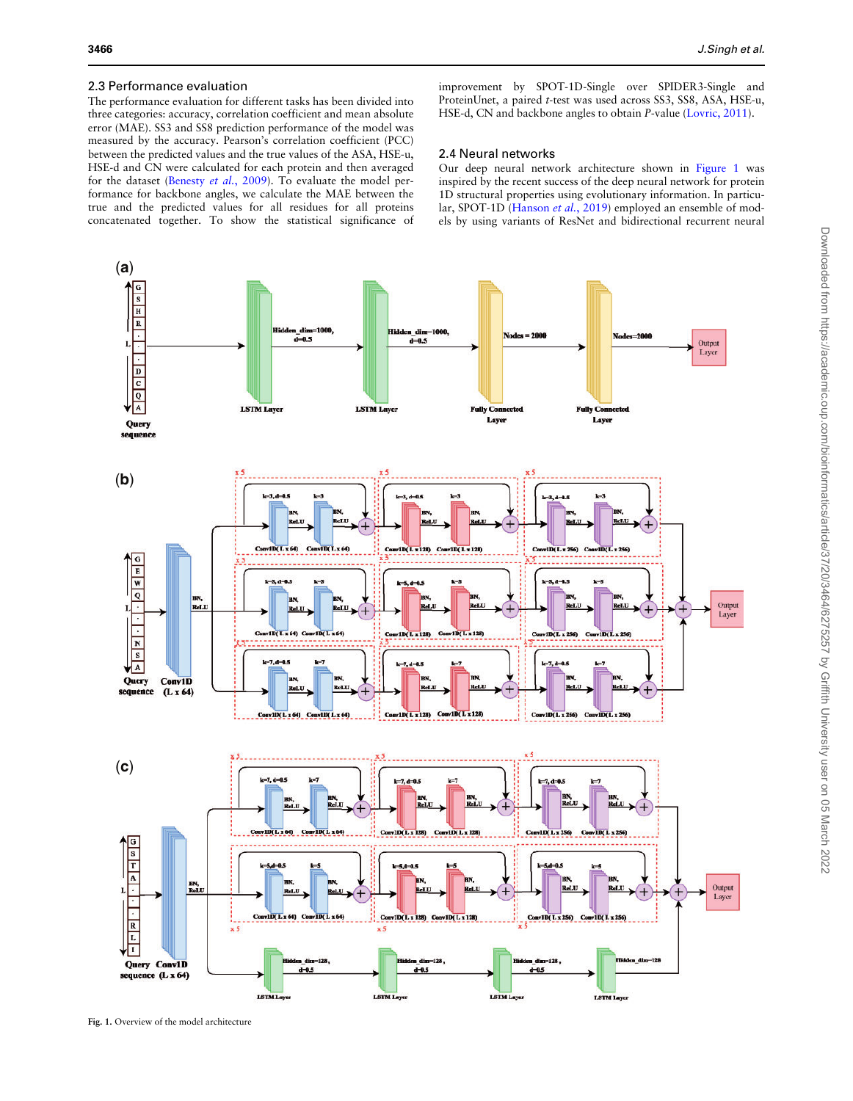# <span id="page-2-0"></span>2.3 Performance evaluation

The performance evaluation for different tasks has been divided into three categories: accuracy, correlation coefficient and mean absolute error (MAE). SS3 and SS8 prediction performance of the model was measured by the accuracy. Pearson's correlation coefficient (PCC) between the predicted values and the true values of the ASA, HSE-u, HSE-d and CN were calculated for each protein and then averaged for the dataset ([Benesty](#page-8-0) et al., 2009). To evaluate the model performance for backbone angles, we calculate the MAE between the true and the predicted values for all residues for all proteins concatenated together. To show the statistical significance of improvement by SPOT-1D-Single over SPIDER3-Single and ProteinUnet, a paired t-test was used across SS3, SS8, ASA, HSE-u, HSE-d, CN and backbone angles to obtain P-value [\(Lovric, 2011](#page-8-0)).

## 2.4 Neural networks

Our deep neural network architecture shown in Figure 1 was inspired by the recent success of the deep neural network for protein 1D structural properties using evolutionary information. In particu-lar, SPOT-1D ([Hanson](#page-8-0) et al., 2019) employed an ensemble of models by using variants of ResNet and bidirectional recurrent neural



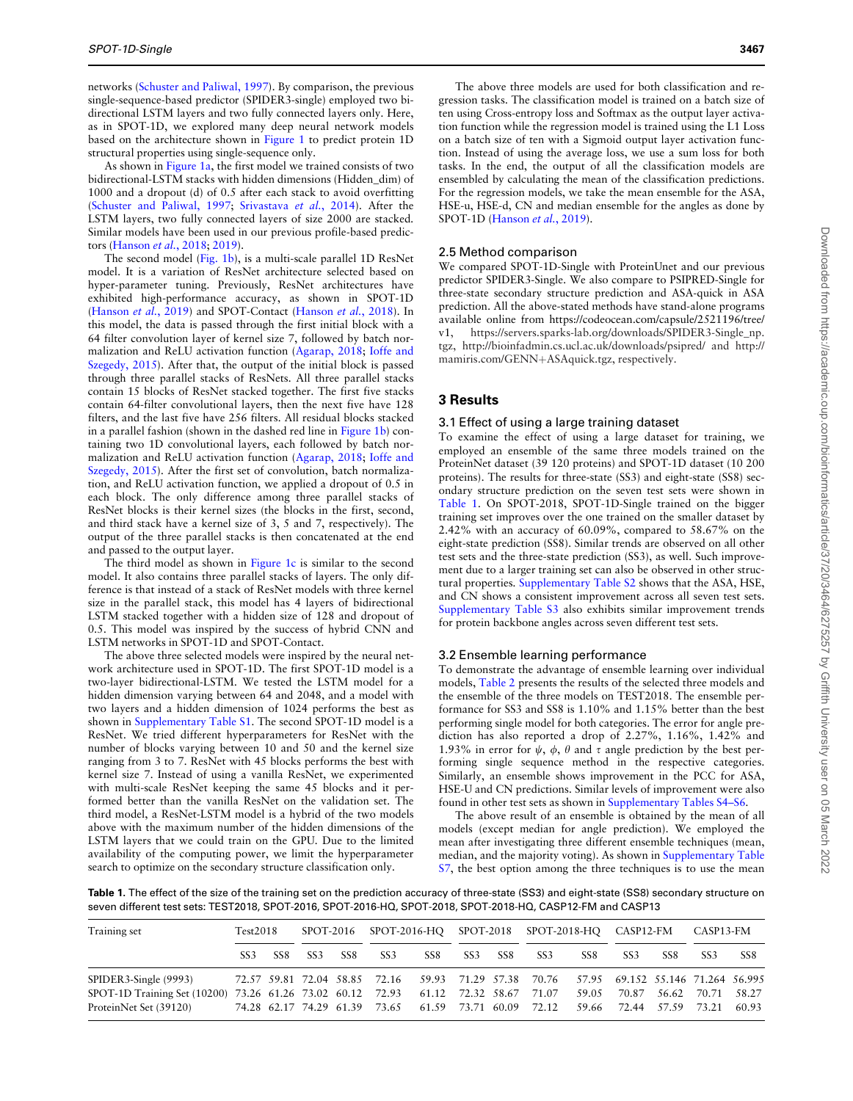networks ([Schuster and Paliwal, 1997\)](#page-8-0). By comparison, the previous single-sequence-based predictor (SPIDER3-single) employed two bidirectional LSTM layers and two fully connected layers only. Here, as in SPOT-1D, we explored many deep neural network models based on the architecture shown in [Figure 1](#page-2-0) to predict protein 1D structural properties using single-sequence only.

As shown in [Figure 1a,](#page-2-0) the first model we trained consists of two bidirectional-LSTM stacks with hidden dimensions (Hidden\_dim) of 1000 and a dropout (d) of 0.5 after each stack to avoid overfitting ([Schuster and Paliwal, 1997;](#page-8-0) [Srivastava](#page-8-0) et al., 2014). After the LSTM layers, two fully connected layers of size 2000 are stacked. Similar models have been used in our previous profile-based predictors [\(Hanson](#page-8-0) et al., 2018; [2019](#page-8-0)).

The second model ([Fig. 1b](#page-2-0)), is a multi-scale parallel 1D ResNet model. It is a variation of ResNet architecture selected based on hyper-parameter tuning. Previously, ResNet architectures have exhibited high-performance accuracy, as shown in SPOT-1D ([Hanson](#page-8-0) et al., 2019) and SPOT-Contact (Hanson et al., 2018). In this model, the data is passed through the first initial block with a 64 filter convolution layer of kernel size 7, followed by batch normalization and ReLU activation function [\(Agarap, 2018](#page-7-0); [Ioffe and](#page-8-0) [Szegedy, 2015\)](#page-8-0). After that, the output of the initial block is passed through three parallel stacks of ResNets. All three parallel stacks contain 15 blocks of ResNet stacked together. The first five stacks contain 64-filter convolutional layers, then the next five have 128 filters, and the last five have 256 filters. All residual blocks stacked in a parallel fashion (shown in the dashed red line in [Figure 1b](#page-2-0)) containing two 1D convolutional layers, each followed by batch normalization and ReLU activation function [\(Agarap, 2018](#page-7-0); [Ioffe and](#page-8-0) [Szegedy, 2015\)](#page-8-0). After the first set of convolution, batch normalization, and ReLU activation function, we applied a dropout of 0.5 in each block. The only difference among three parallel stacks of ResNet blocks is their kernel sizes (the blocks in the first, second, and third stack have a kernel size of 3, 5 and 7, respectively). The output of the three parallel stacks is then concatenated at the end and passed to the output layer.

The third model as shown in [Figure 1c](#page-2-0) is similar to the second model. It also contains three parallel stacks of layers. The only difference is that instead of a stack of ResNet models with three kernel size in the parallel stack, this model has 4 layers of bidirectional LSTM stacked together with a hidden size of 128 and dropout of 0.5. This model was inspired by the success of hybrid CNN and LSTM networks in SPOT-1D and SPOT-Contact.

The above three selected models were inspired by the neural network architecture used in SPOT-1D. The first SPOT-1D model is a two-layer bidirectional-LSTM. We tested the LSTM model for a hidden dimension varying between 64 and 2048, and a model with two layers and a hidden dimension of 1024 performs the best as shown in [Supplementary Table S1.](https://academic.oup.com/bioinformatics/article-lookup/doi/10.1093/bioinformatics/btab316#supplementary-data) The second SPOT-1D model is a ResNet. We tried different hyperparameters for ResNet with the number of blocks varying between 10 and 50 and the kernel size ranging from 3 to 7. ResNet with 45 blocks performs the best with kernel size 7. Instead of using a vanilla ResNet, we experimented with multi-scale ResNet keeping the same 45 blocks and it performed better than the vanilla ResNet on the validation set. The third model, a ResNet-LSTM model is a hybrid of the two models above with the maximum number of the hidden dimensions of the LSTM layers that we could train on the GPU. Due to the limited availability of the computing power, we limit the hyperparameter search to optimize on the secondary structure classification only.

The above three models are used for both classification and regression tasks. The classification model is trained on a batch size of ten using Cross-entropy loss and Softmax as the output layer activation function while the regression model is trained using the L1 Loss on a batch size of ten with a Sigmoid output layer activation function. Instead of using the average loss, we use a sum loss for both tasks. In the end, the output of all the classification models are ensembled by calculating the mean of the classification predictions. For the regression models, we take the mean ensemble for the ASA, HSE-u, HSE-d, CN and median ensemble for the angles as done by SPOT-1D [\(Hanson](#page-8-0) et al., 2019).

### 2.5 Method comparison

We compared SPOT-1D-Single with ProteinUnet and our previous predictor SPIDER3-Single. We also compare to PSIPRED-Single for three-state secondary structure prediction and ASA-quick in ASA prediction. All the above-stated methods have stand-alone programs available online from [https://codeocean.com/capsule/2521196/tree/](https://codeocean.com/capsule/2521196/tree/v1) https://servers.sparks-lab.org/downloads/SPIDER3-Single\_np. [tgz](https://servers.sparks-lab.org/downloads/SPIDER3-Single_np.tgz),<http://bioinfadmin.cs.ucl.ac.uk/downloads/psipred/> and [http://](http://mamiris.com/GENN&hx002B;ASAquick.tgz) [mamiris.com/GENN](http://mamiris.com/GENN&hx002B;ASAquick.tgz)+[ASAquick.tgz,](http://mamiris.com/GENN&hx002B;ASAquick.tgz) respectively.

# 3 Results

#### 3.1 Effect of using a large training dataset

To examine the effect of using a large dataset for training, we employed an ensemble of the same three models trained on the ProteinNet dataset (39 120 proteins) and SPOT-1D dataset (10 200 proteins). The results for three-state (SS3) and eight-state (SS8) secondary structure prediction on the seven test sets were shown in Table 1. On SPOT-2018, SPOT-1D-Single trained on the bigger training set improves over the one trained on the smaller dataset by 2.42% with an accuracy of 60.09%, compared to 58.67% on the eight-state prediction (SS8). Similar trends are observed on all other test sets and the three-state prediction (SS3), as well. Such improvement due to a larger training set can also be observed in other structural properties. [Supplementary Table S2](https://academic.oup.com/bioinformatics/article-lookup/doi/10.1093/bioinformatics/btab316#supplementary-data) shows that the ASA, HSE, and CN shows a consistent improvement across all seven test sets. [Supplementary Table S3](https://academic.oup.com/bioinformatics/article-lookup/doi/10.1093/bioinformatics/btab316#supplementary-data) also exhibits similar improvement trends for protein backbone angles across seven different test sets.

#### 3.2 Ensemble learning performance

To demonstrate the advantage of ensemble learning over individual models, [Table 2](#page-4-0) presents the results of the selected three models and the ensemble of the three models on TEST2018. The ensemble performance for SS3 and SS8 is 1.10% and 1.15% better than the best performing single model for both categories. The error for angle prediction has also reported a drop of 2.27%, 1.16%, 1.42% and 1.93% in error for  $\psi$ ,  $\phi$ ,  $\theta$  and  $\tau$  angle prediction by the best performing single sequence method in the respective categories. Similarly, an ensemble shows improvement in the PCC for ASA, HSE-U and CN predictions. Similar levels of improvement were also found in other test sets as shown in [Supplementary Tables S4–S6](https://academic.oup.com/bioinformatics/article-lookup/doi/10.1093/bioinformatics/btab316#supplementary-data).

The above result of an ensemble is obtained by the mean of all models (except median for angle prediction). We employed the mean after investigating three different ensemble techniques (mean, median, and the majority voting). As shown in [Supplementary Table](https://academic.oup.com/bioinformatics/article-lookup/doi/10.1093/bioinformatics/btab316#supplementary-data) [S7,](https://academic.oup.com/bioinformatics/article-lookup/doi/10.1093/bioinformatics/btab316#supplementary-data) the best option among the three techniques is to use the mean

Table 1. The effect of the size of the training set on the prediction accuracy of three-state (SS3) and eight-state (SS8) secondary structure on seven different test sets: TEST2018, SPOT-2016, SPOT-2016-HQ, SPOT-2018, SPOT-2018-HQ, CASP12-FM and CASP13

| Training set                                                                       | Test2018        |     |     |       |                 |     |     |     | SPOT-2016 SPOT-2016-HO SPOT-2018 SPOT-2018-HO CASP12-FM                                 |                 |                               |     | CASP13-FM         |     |
|------------------------------------------------------------------------------------|-----------------|-----|-----|-------|-----------------|-----|-----|-----|-----------------------------------------------------------------------------------------|-----------------|-------------------------------|-----|-------------------|-----|
|                                                                                    | SS <sub>3</sub> | SS8 | SS3 | - SS8 | SS <sub>3</sub> | SS8 | SS3 | SS8 | SS3                                                                                     | SS <sub>8</sub> | SS <sub>3</sub>               | SS8 | SS <sub>3</sub>   | SS8 |
| SPIDER3-Single (9993)                                                              |                 |     |     |       |                 |     |     |     | 72.57 59.81 72.04 58.85 72.16 59.93 71.29 57.38 70.76 57.95 69.152 55.146 71.264 56.995 |                 |                               |     |                   |     |
| SPOT-1D Training Set (10200) 73.26 61.26 73.02 60.12 72.93 61.12 72.32 58.67 71.07 |                 |     |     |       |                 |     |     |     |                                                                                         |                 | 59.05 70.87                   |     | 56.62 70.71 58.27 |     |
| ProteinNet Set (39120)                                                             |                 |     |     |       |                 |     |     |     | 74.28 62.17 74.29 61.39 73.65 61.59 73.71 60.09 72.12                                   |                 | 59.66 72.44 57.59 73.21 60.93 |     |                   |     |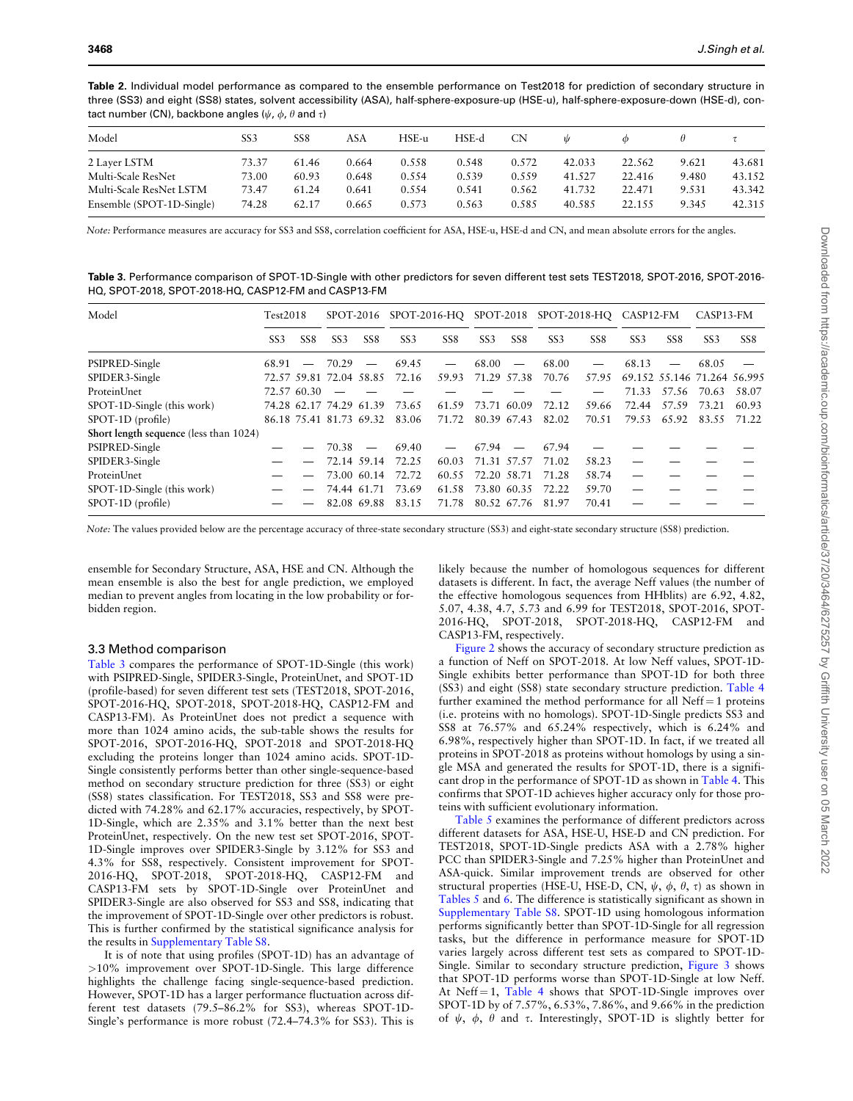<span id="page-4-0"></span>

| Table 2. Individual model performance as compared to the ensemble performance on Test2018 for prediction of secondary structure in        |  |
|-------------------------------------------------------------------------------------------------------------------------------------------|--|
| three (SS3) and eight (SS8) states, solvent accessibility (ASA), half-sphere-exposure-up (HSE-u), half-sphere-exposure-down (HSE-d), con- |  |
| tact number (CN), backbone angles ( $\psi$ , $\phi$ , $\theta$ and $\tau$ )                                                               |  |

| Model                     | SS3   | SS8   | ASA   | HSE-u | HSE-d | <b>CN</b> | Ŵ      |        |       |        |
|---------------------------|-------|-------|-------|-------|-------|-----------|--------|--------|-------|--------|
| 2 Layer LSTM              | 73.37 | 61.46 | 0.664 | 0.558 | 0.548 | 0.572     | 42.033 | 22.562 | 9.621 | 43.681 |
| Multi-Scale ResNet        | 73.00 | 60.93 | 0.648 | 0.554 | 0.539 | 0.559     | 41.527 | 22.416 | 9.480 | 43.152 |
| Multi-Scale ResNet LSTM   | 73.47 | 61.24 | 0.641 | 0.554 | 0.541 | 0.562     | 41.732 | 22.471 | 9.531 | 43.342 |
| Ensemble (SPOT-1D-Single) | 74.28 | 62.17 | 0.665 | 0.573 | 0.563 | 0.585     | 40.585 | 22.155 | 9.345 | 42.315 |

Note: Performance measures are accuracy for SS3 and SS8, correlation coefficient for ASA, HSE-u, HSE-d and CN, and mean absolute errors for the angles.

Table 3. Performance comparison of SPOT-1D-Single with other predictors for seven different test sets TEST2018, SPOT-2016, SPOT-2016- HQ, SPOT-2018, SPOT-2018-HQ, CASP12-FM and CASP13-FM

| Model                                  | Test2018        |                 |                         |                          |                 |                 |                 |                          | SPOT-2016 SPOT-2016-HQ SPOT-2018 SPOT-2018-HQ CASP12-FM |                 |                 |                 | CASP13-FM                   |       |
|----------------------------------------|-----------------|-----------------|-------------------------|--------------------------|-----------------|-----------------|-----------------|--------------------------|---------------------------------------------------------|-----------------|-----------------|-----------------|-----------------------------|-------|
|                                        | SS <sub>3</sub> | SS <sub>8</sub> | SS <sub>3</sub>         | SS <sub>8</sub>          | SS <sub>3</sub> | SS <sub>8</sub> | SS <sub>3</sub> | SS <sub>8</sub>          | SS <sub>3</sub>                                         | SS <sub>8</sub> | SS <sub>3</sub> | SS <sub>8</sub> | SS <sub>3</sub>             | SS8   |
| PSIPRED-Single                         | 68.91           |                 | $-70.29$                |                          | 69.45           |                 | 68.00           |                          | 68.00                                                   |                 | 68.13           |                 | 68.05                       |       |
| SPIDER3-Single                         |                 |                 | 72.57 59.81 72.04 58.85 |                          | 72.16           | 59.93           | 71.29 57.38     |                          | 70.76                                                   | 57.95           |                 |                 | 69.152 55.146 71.264 56.995 |       |
| ProteinUnet                            |                 | 72.57 60.30     |                         |                          |                 |                 |                 |                          |                                                         |                 | 71.33           | 57.56           | 70.63                       | 58.07 |
| SPOT-1D-Single (this work)             |                 |                 | 74.28 62.17 74.29 61.39 |                          | 73.65           | 61.59           |                 | 73.71 60.09              | 72.12                                                   | 59.66           | 72.44           | 57.59           | 73.21                       | 60.93 |
| SPOT-1D (profile)                      |                 |                 | 86.18 75.41 81.73 69.32 |                          | 83.06           | 71.72           |                 | 80.39 67.43              | 82.02                                                   | 70.51           | 79.53           | 65.92           | 83.55                       | 71.22 |
| Short length sequence (less than 1024) |                 |                 |                         |                          |                 |                 |                 |                          |                                                         |                 |                 |                 |                             |       |
| PSIPRED-Single                         |                 |                 | 70.38                   | $\overline{\phantom{m}}$ | 69.40           |                 | 67.94           | $\overline{\phantom{m}}$ | 67.94                                                   |                 |                 |                 |                             |       |
| SPIDER3-Single                         |                 |                 | 72.14 59.14             |                          | 72.25           | 60.03           | 71.31 57.57     |                          | 71.02                                                   | 58.23           |                 |                 |                             |       |
| <b>ProteinUnet</b>                     |                 |                 |                         | 73.00 60.14              | 72.72           | 60.55           |                 |                          | 72.20 58.71 71.28                                       | 58.74           |                 |                 |                             |       |
| SPOT-1D-Single (this work)             |                 |                 |                         | 74.44 61.71              | 73.69           | 61.58           | 73.80 60.35     |                          | 72.22                                                   | 59.70           |                 |                 |                             |       |
| SPOT-1D (profile)                      |                 |                 |                         | 82.08 69.88              | 83.15           | 71.78           |                 | 80.52 67.76              | 81.97                                                   | 70.41           |                 |                 |                             |       |

Note: The values provided below are the percentage accuracy of three-state secondary structure (SS3) and eight-state secondary structure (SS8) prediction.

ensemble for Secondary Structure, ASA, HSE and CN. Although the mean ensemble is also the best for angle prediction, we employed median to prevent angles from locating in the low probability or forbidden region.

#### 3.3 Method comparison

Table 3 compares the performance of SPOT-1D-Single (this work) with PSIPRED-Single, SPIDER3-Single, ProteinUnet, and SPOT-1D (profile-based) for seven different test sets (TEST2018, SPOT-2016, SPOT-2016-HQ, SPOT-2018, SPOT-2018-HQ, CASP12-FM and CASP13-FM). As ProteinUnet does not predict a sequence with more than 1024 amino acids, the sub-table shows the results for SPOT-2016, SPOT-2016-HQ, SPOT-2018 and SPOT-2018-HQ excluding the proteins longer than 1024 amino acids. SPOT-1D-Single consistently performs better than other single-sequence-based method on secondary structure prediction for three (SS3) or eight (SS8) states classification. For TEST2018, SS3 and SS8 were predicted with 74.28% and 62.17% accuracies, respectively, by SPOT-1D-Single, which are 2.35% and 3.1% better than the next best ProteinUnet, respectively. On the new test set SPOT-2016, SPOT-1D-Single improves over SPIDER3-Single by 3.12% for SS3 and 4.3% for SS8, respectively. Consistent improvement for SPOT-2016-HQ, SPOT-2018, SPOT-2018-HQ, CASP12-FM and CASP13-FM sets by SPOT-1D-Single over ProteinUnet and SPIDER3-Single are also observed for SS3 and SS8, indicating that the improvement of SPOT-1D-Single over other predictors is robust. This is further confirmed by the statistical significance analysis for the results in [Supplementary Table S8.](https://academic.oup.com/bioinformatics/article-lookup/doi/10.1093/bioinformatics/btab316#supplementary-data)

It is of note that using profiles (SPOT-1D) has an advantage of >10% improvement over SPOT-1D-Single. This large difference highlights the challenge facing single-sequence-based prediction. However, SPOT-1D has a larger performance fluctuation across different test datasets (79.5–86.2% for SS3), whereas SPOT-1D-Single's performance is more robust (72.4–74.3% for SS3). This is

likely because the number of homologous sequences for different datasets is different. In fact, the average Neff values (the number of the effective homologous sequences from HHblits) are 6.92, 4.82, 5.07, 4.38, 4.7, 5.73 and 6.99 for TEST2018, SPOT-2016, SPOT-2016-HQ, SPOT-2018, SPOT-2018-HQ, CASP12-FM and CASP13-FM, respectively.

[Figure 2](#page-5-0) shows the accuracy of secondary structure prediction as a function of Neff on SPOT-2018. At low Neff values, SPOT-1D-Single exhibits better performance than SPOT-1D for both three (SS3) and eight (SS8) state secondary structure prediction. [Table 4](#page-5-0) further examined the method performance for all Neff  $=$  1 proteins (i.e. proteins with no homologs). SPOT-1D-Single predicts SS3 and SS8 at 76.57% and 65.24% respectively, which is 6.24% and 6.98%, respectively higher than SPOT-1D. In fact, if we treated all proteins in SPOT-2018 as proteins without homologs by using a single MSA and generated the results for SPOT-1D, there is a significant drop in the performance of SPOT-1D as shown in [Table 4.](#page-5-0) This confirms that SPOT-1D achieves higher accuracy only for those proteins with sufficient evolutionary information.

[Table 5](#page-6-0) examines the performance of different predictors across different datasets for ASA, HSE-U, HSE-D and CN prediction. For TEST2018, SPOT-1D-Single predicts ASA with a 2.78% higher PCC than SPIDER3-Single and 7.25% higher than ProteinUnet and ASA-quick. Similar improvement trends are observed for other structural properties (HSE-U, HSE-D, CN,  $\psi$ ,  $\phi$ ,  $\theta$ ,  $\tau$ ) as shown in [Tables 5](#page-5-0) and 6. The difference is statistically significant as shown in [Supplementary Table S8](https://academic.oup.com/bioinformatics/article-lookup/doi/10.1093/bioinformatics/btab316#supplementary-data). SPOT-1D using homologous information performs significantly better than SPOT-1D-Single for all regression tasks, but the difference in performance measure for SPOT-1D varies largely across different test sets as compared to SPOT-1D-Single. Similar to secondary structure prediction, [Figure 3](#page-7-0) shows that SPOT-1D performs worse than SPOT-1D-Single at low Neff. At Neff  $=$  1, [Table 4](#page-5-0) shows that SPOT-1D-Single improves over SPOT-1D by of 7.57%, 6.53%, 7.86%, and 9.66% in the prediction of  $\psi$ ,  $\phi$ ,  $\theta$  and  $\tau$ . Interestingly, SPOT-1D is slightly better for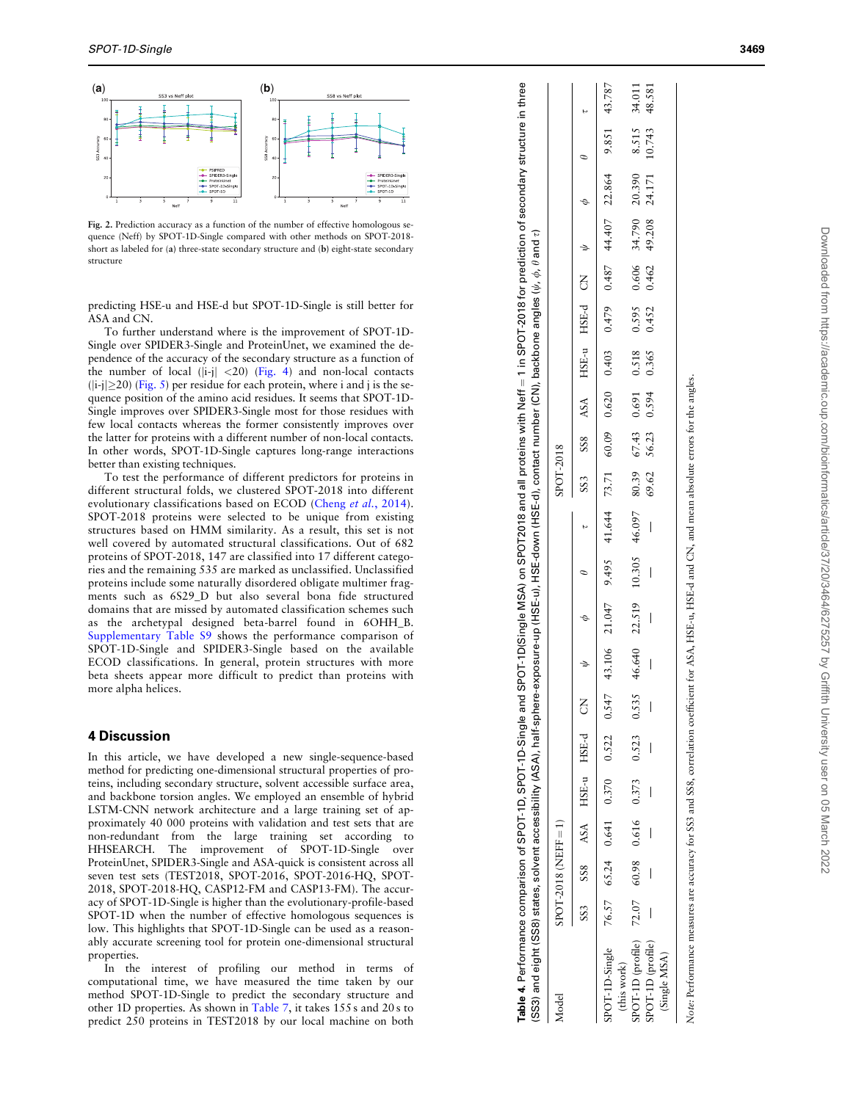<span id="page-5-0"></span>

Fig. 2. Prediction accuracy as a function of the number of effective homologous sequence (Neff) by SPOT-1D-Single compared with other methods on SPOT-2018 short as labeled for (a) three-state secondary structure and (b) eight-state secondary structure

predicting HSE-u and HSE-d but SPOT-1D-Single is still better for ASA and CN.

To further understand where is the improvement of SPOT-1D-Single over SPIDER3-Single and ProteinUnet, we examined the dependence of the accuracy of the secondary structure as a function of the number of local (|i-j| <20) [\(Fig. 4](#page-7-0)) and non-local contacts  $(|i-j| \geq 20)$  ([Fig. 5\)](#page-7-0) per residue for each protein, where i and j is the sequence position of the amino acid residues. It seems that SPOT-1D-Single improves over SPIDER3-Single most for those residues with few local contacts whereas the former consistently improves over the latter for proteins with a different number of non-local contacts. In other words, SPOT-1D-Single captures long-range interactions better than existing techniques.

To test the performance of different predictors for proteins in different structural folds, we clustered SPOT-2018 into different evolutionary classifications based on ECOD (Cheng et al.[, 2014](#page-8-0)). SPOT-2018 proteins were selected to be unique from existing structures based on HMM similarity. As a result, this set is not well covered by automated structural classifications. Out of 682 proteins of SPOT-2018, 147 are classified into 17 different categories and the remaining 535 are marked as unclassified. Unclassified proteins include some naturally disordered obligate multimer fragments such as 6S29\_D but also several bona fide structured domains that are missed by automated classification schemes such as the archetypal designed beta-barrel found in 6OHH\_B. [Supplementary Table S9](https://academic.oup.com/bioinformatics/article-lookup/doi/10.1093/bioinformatics/btab316#supplementary-data) shows the performance comparison of SPOT-1D-Single and SPIDER3-Single based on the available ECOD classifications. In general, protein structures with more beta sheets appear more difficult to predict than proteins with more alpha helices. **Example 19**<br> **Example 19**<br> **Example 19**<br> **Example 25**<br> **Example 25**<br> **Example 25**<br> **Example 250 proteins in the set of the set of the set of the set of the set of the set of the set of the set of the set of the set of th** 

# 4 Discussion

In this article, we have developed a new single-sequence-based method for predicting one-dimensional structural properties of proteins, including secondary structure, solvent accessible surface area, and backbone torsion angles. We employed an ensemble of hybrid LSTM-CNN network architecture and a large training set of approximately 40 000 proteins with validation and test sets that are non-redundant from the large training set according to HHSEARCH. The improvement of SPOT-1D-Single over ProteinUnet, SPIDER3-Single and ASA-quick is consistent across all seven test sets (TEST2018, SPOT-2016, SPOT-2016-HQ, SPOT-2018, SPOT-2018-HQ, CASP12-FM and CASP13-FM). The accuracy of SPOT-1D-Single is higher than the evolutionary-profile-based SPOT-1D when the number of effective homologous sequences is low. This highlights that SPOT-1D-Single can be used as a reasonably accurate screening tool for protein one-dimensional structural properties.

In the interest of profiling our method in terms of computational time, we have measured the time taken by our method SPOT-1D-Single to predict the secondary structure and other 1D properties. As shown in [Table 7](#page-7-0), it takes 155 s and 20 s to predict 250 proteins in TEST2018 by our local machine on both

| Table 4. Performance comparison of SPOT-1D, SPOT-1D-Single and SPOT-1D(Single MSA) on SPOT2018 and all proteins with Neff = 1 in SPOT-2018 for prediction of secondary structure in three<br>(SS3) and eight (SS8) states, solvent accessibility (ASA), half-sphere-exposure-up (HSE-u), HSE-down (HSE-d), contact number (CN), backbone angles ( $\psi, \phi, \theta$ and $\tau$ ) |                        |  |                            |       |                                                                                                                                                                                                                              |  |           |  |                               |               |        |        |
|-------------------------------------------------------------------------------------------------------------------------------------------------------------------------------------------------------------------------------------------------------------------------------------------------------------------------------------------------------------------------------------|------------------------|--|----------------------------|-------|------------------------------------------------------------------------------------------------------------------------------------------------------------------------------------------------------------------------------|--|-----------|--|-------------------------------|---------------|--------|--------|
| Model                                                                                                                                                                                                                                                                                                                                                                               | $SPOT-2018$ (NEFF = 1) |  |                            |       |                                                                                                                                                                                                                              |  | SPOT-2018 |  |                               |               |        |        |
|                                                                                                                                                                                                                                                                                                                                                                                     |                        |  | SS3 SS8 ASA HSE-u HSE-d CN |       | $\theta$ $\phi$ $\psi$                                                                                                                                                                                                       |  |           |  |                               |               |        |        |
| SPOT-1D-Single 76.57 65.24 0.641 0.370 0.522 0.547<br>(this work)                                                                                                                                                                                                                                                                                                                   |                        |  |                            |       | $187.77$ + $38.7$ $2.89$ $2.87$ $2.89$ $2.89$ $2.89$ $2.89$ $2.89$ $2.89$ $2.89$ $2.89$ $2.89$ $2.80$ $2.80$ $2.80$ $2.80$ $2.80$ $2.80$ $2.80$ $2.80$ $2.80$ $2.80$ $2.80$ $2.80$ $2.80$ $2.80$ $2.80$ $2.80$ $2.80$ $2.80$ |  |           |  |                               |               |        |        |
| SPOT-1D (profile) 72.07 60.98 0.616 0.373 0.523                                                                                                                                                                                                                                                                                                                                     |                        |  |                            | 0.535 | 46.640 22.319 10:606 46.097 67.43 0.39 681 0.39 681 0.308 0.309 0.606 46.000 20.309                                                                                                                                          |  |           |  |                               |               | 8.515  | 34.011 |
| SPOT-1D (profile)<br>(Single MSA)                                                                                                                                                                                                                                                                                                                                                   |                        |  |                            |       |                                                                                                                                                                                                                              |  | 69.62     |  | 56.23 0.594 0.365 0.452 0.462 | 49.208 24.171 | 10.743 | 48.581 |
|                                                                                                                                                                                                                                                                                                                                                                                     |                        |  |                            |       |                                                                                                                                                                                                                              |  |           |  |                               |               |        |        |

Table 4. Performance comparison of SPOT-1D, SPOT-1D-Single and SPOT-1D(Single MSA) on SPOT2018 and all proteins with Neff = 1 in SPOT-2018 for prediction of secondary structure in three

Note: Performance measures are accuracy for SS3 and SS8, correlation coefficient for ASA, HSE-u, HSE-d and CN, and mean absolute errors for the angles. Note: Performance measures are accuracy for SS3 and SS8, correlation coefficient for ASA, HSE-u, HSE-d and CN, and mean absolute errors for the angles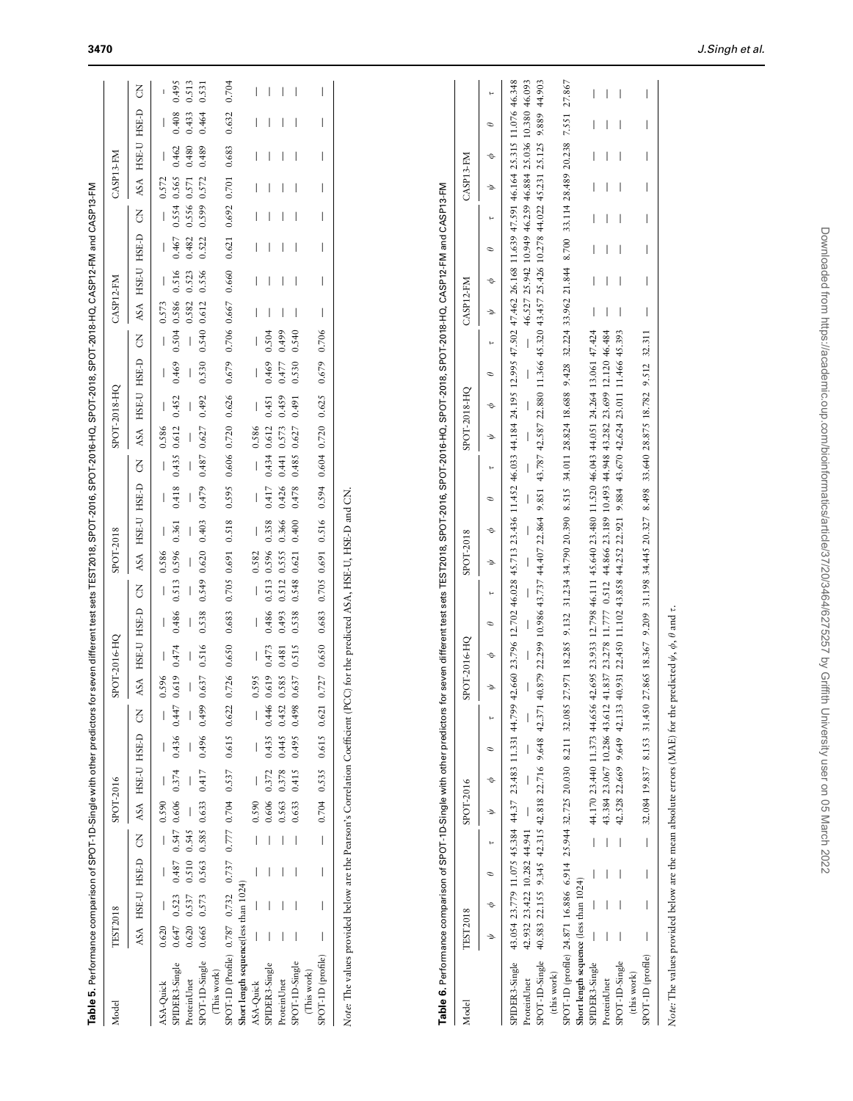<span id="page-6-0"></span>

| Model                                                                                                                                                                                                                         | <b>TEST2018</b> |                |                                                                                                              |                | SPOT-2016 |               |                             |                  |       | SPOT-2016-HQ                                                                        |          |                | SPOT-2018                   |             |                                          |                |              | SPOT-2018-HQ |               |                                                                                                                                                                                  | CASP12-FM                          |                |                |                | CASP13-FM            |                |                |                  |
|-------------------------------------------------------------------------------------------------------------------------------------------------------------------------------------------------------------------------------|-----------------|----------------|--------------------------------------------------------------------------------------------------------------|----------------|-----------|---------------|-----------------------------|------------------|-------|-------------------------------------------------------------------------------------|----------|----------------|-----------------------------|-------------|------------------------------------------|----------------|--------------|--------------|---------------|----------------------------------------------------------------------------------------------------------------------------------------------------------------------------------|------------------------------------|----------------|----------------|----------------|----------------------|----------------|----------------|------------------|
|                                                                                                                                                                                                                               | ASA             | HSE-U HSE-D    |                                                                                                              | $\overline{6}$ | ASA       |               | HSE-U HSE-D                 | $\overline{6}$   | ASA   | HSE-U HSE-D                                                                         |          | $\overline{6}$ | ASA                         | HSE-U HSE-D |                                          | $\overline{5}$ | ASA          | HSE-U HSE-D  |               | FO                                                                                                                                                                               | ASA                                | HSE-U HSE-D    |                | $\overline{6}$ | ASA                  | HSE-U          | HSE-D          | $\overline{6}$   |
| ASA-Quick                                                                                                                                                                                                                     | 0.620           |                |                                                                                                              |                | 0.590     |               |                             |                  | 0.596 |                                                                                     |          |                | 0.586                       |             |                                          |                | 0.586        |              |               |                                                                                                                                                                                  | 0.573                              |                |                |                | 0.572                |                |                |                  |
| SPIDER3-Single<br>ProteinUnet                                                                                                                                                                                                 | 0.647<br>0.620  | 0.523<br>0.537 | 0.487<br>0.510                                                                                               | 0.547<br>0.545 | 0.606     | 0.374         | 0.436                       | 0.447            | 0.619 | 0.474                                                                               | 0.486    | 0.513          | 0.596                       | 0.361       | 0.418                                    | 0.435 0.612    |              | 0.452        | 0.469         | 0.504                                                                                                                                                                            | 0.586<br>0.582                     | 0.516<br>0.523 | 0.467<br>0.482 | 0.556<br>0.554 | 0.565<br>0.571       | 0.480<br>0.462 | 0.433<br>0.408 | 0.513<br>0.495   |
| SPOT-1D-Single<br>(This work)                                                                                                                                                                                                 | 0.665           | 0.573          | 0.563                                                                                                        | 0.585          | 0.633     | 0.417         | 0.496                       | 0.499            | 0.637 | 0.516                                                                               | 0.538    | 0.549          | 0.620                       | 0.403       | 0.479                                    | 0.487          | 0.627        | 0.492        | 0.530         | 0.540                                                                                                                                                                            | 0.612                              | 0.556          | 0.522          | 0.599          | 0.572                | 0.489          | 0.464          | 0.531            |
| SPOT-1D (Profile) 0.787 0.732 0.737                                                                                                                                                                                           |                 |                |                                                                                                              | 0.777          | 0.704     | 0.537         | 0.615                       | 0.622            | 0.726 | 0.650                                                                               | 0.683    | 0.705          | 0.691                       | 0.518       | 0.595                                    | 0.606          | 0.720        | 0.626        | 0.679         | 0.706                                                                                                                                                                            | 0.667                              | 0.660          | 0.621          | 0.692          | 0.701                | 0.683          | 0.632          | 0.704            |
| Short length sequence(less than 1024)                                                                                                                                                                                         |                 |                |                                                                                                              |                |           |               |                             |                  |       |                                                                                     |          |                |                             |             |                                          |                |              |              |               |                                                                                                                                                                                  |                                    |                |                |                |                      |                |                |                  |
| ASA-Quick                                                                                                                                                                                                                     |                 |                |                                                                                                              |                | 0.590     |               |                             |                  | 0.595 |                                                                                     |          |                | 0.582                       |             |                                          |                | 0.586        |              |               |                                                                                                                                                                                  |                                    |                |                |                |                      |                |                |                  |
| SPIDER3-Single                                                                                                                                                                                                                |                 |                |                                                                                                              |                | 0.606     | 0.372         | 0.435                       | 0.446            | 0.619 | 0.473                                                                               | 0.486    | 0.513          | 0.596                       | 0.358       | 0.417                                    | 0.434          | 0.612        | 0.451        | 0.469         | 0.504                                                                                                                                                                            |                                    |                |                |                |                      |                |                |                  |
| ProteinUnet                                                                                                                                                                                                                   |                 |                |                                                                                                              |                | 0.563     | 0.378         | 0.445                       | 0.452            | 0.585 | 0.481                                                                               | 0.493    | 0.512          | 0.555                       | 0.366       | 0.426                                    | 0.441          | 0.573        | 0.459        | 0.477         | 0.499                                                                                                                                                                            |                                    |                |                |                |                      |                |                |                  |
| SPOT-1D-Single<br>(This work)                                                                                                                                                                                                 |                 |                |                                                                                                              |                | 0.633     | 0.415         | 0.495                       | 0.498            | 0.637 | 0.515                                                                               | 0.538    | 0.548          | 0.621                       | 0.400       | 0.478                                    | 0.485          | 0.627        | 0.491        | 0.530         | 0.540                                                                                                                                                                            |                                    |                |                |                |                      |                |                |                  |
| SPOT-1D (profile)                                                                                                                                                                                                             |                 |                |                                                                                                              |                | 0.704     | 0.535         | 0.615                       | 0.621            | 0.727 | 0.650                                                                               | 0.683    | 0.705          | 0.691                       | 0.516       | 0.594                                    | 0.604          | 0.720        | 0.625        | 0.679         | 0.706                                                                                                                                                                            |                                    |                |                |                |                      |                |                |                  |
| Table 6. Performance comparison of SPOT-1D-Single with other predictors for seven different test sets TEST2018, SPOT-2016, SPOT-2018, SPOT-2018, SPOT-2018, SPOT-2018, SPOT-2018, SPOT-2018, SPOT-2018, SPOT-2018, SPOT-2018, |                 |                |                                                                                                              |                |           |               |                             |                  |       |                                                                                     |          |                |                             |             |                                          |                |              |              |               |                                                                                                                                                                                  |                                    |                |                |                |                      |                |                |                  |
|                                                                                                                                                                                                                               |                 |                |                                                                                                              |                |           |               |                             |                  |       |                                                                                     |          |                |                             |             |                                          |                |              |              |               |                                                                                                                                                                                  |                                    |                |                |                |                      |                |                |                  |
| Model                                                                                                                                                                                                                         | <b>TEST2018</b> |                |                                                                                                              |                | SPOT-2016 |               |                             |                  |       | SPOT-2016-HQ                                                                        |          |                | SPOT-2018                   |             |                                          |                | SPOT-2018-HQ |              |               |                                                                                                                                                                                  | CASP12-FM                          |                |                |                | CASP13-FM            |                |                |                  |
|                                                                                                                                                                                                                               | →               | Þ              | Φ                                                                                                            | ы              | ÷         | Þ             | $\sigma$                    | ы                | →     | ¢                                                                                   | $\sigma$ | ь              | $\Rightarrow$               | Þ           | $\mathcal O$                             | ы              | →            | Þ            | $\mathcal O$  | ь                                                                                                                                                                                | →                                  | Þ              | $\sigma$       | ы              | →                    | Þ              | Φ              | e                |
| SPOT-1D-Single<br>SPIDER3-Single<br>(this work)<br>ProteinUnet                                                                                                                                                                |                 |                | 40.583 22.155 9.345 42.315 42.818 22.716 9.648<br>43.054 23.779 11.075 45.384<br>42.932 23.422 10.282 44.941 |                |           |               | 44.37 23.483 11.331         | 44.799<br>42.371 |       | 40.879 22.299 10.986 43.737 44.407 22.864<br>42.660 23.796 12.702                   |          |                | 46.028 45.713 23.436 11.452 |             |                                          |                |              |              |               | 46.033 44.184 24.195 12.995 47.502 47.462 26.168 11.639 47.591 46.164 25.315 11.076 46.348<br>9.851 43.787 42.587 22.880 11.366 45.320 43.457 25.426 10.278 44.022 45.231 25.125 | 46.527 25.942 10.949 46.259 46.884 |                |                |                |                      | 25.036 10.380  | 9.889          | 46.093<br>44.903 |
| SPOT-1D (profile) 24.871 16.886 6.914<br>Short length sequence (less than 1024)                                                                                                                                               |                 |                |                                                                                                              |                |           |               | 25.944 32.725 20.030 8.211  | 32.085           |       | 27.971 18.285                                                                       | 9.132    |                | 31.234 34.790 20.390 8.515  |             |                                          |                |              |              |               | 34.011 28.824 18.688 9.428 32.224 33.962 21.844                                                                                                                                  |                                    |                | 8.700          |                | 33.114 28.489 20.238 |                | 7.551          | 27.867           |
| SPIDER3-Single                                                                                                                                                                                                                |                 |                |                                                                                                              |                |           |               | 44.170 23.440 11.373 44.656 |                  |       | 42.695 23.933 12.798 46.111 45.640 23.480 11.520 46.043 44.051 24.264 13.061 47.424 |          |                |                             |             |                                          |                |              |              |               |                                                                                                                                                                                  |                                    |                |                |                |                      |                |                |                  |
| ProteinUnet                                                                                                                                                                                                                   |                 |                |                                                                                                              |                |           |               | 43.384 23.067 10.286 43.612 |                  |       | 41.837 23.278 11.777                                                                |          | 0.512          |                             |             | 44.866 23.189 10.493 44.948 43.282       |                |              | 23.699       | 12.120 46.484 |                                                                                                                                                                                  |                                    |                |                |                |                      |                |                |                  |
| SPOT-1D-Single                                                                                                                                                                                                                |                 |                |                                                                                                              |                |           | 42.528 22.669 | 9.649                       | 42.133           |       | 40.931 22.450 11.102                                                                |          |                | 43.858 44.252 22.921        |             | 9.884 43.670 42.624 23.011 11.466 45.393 |                |              |              |               |                                                                                                                                                                                  |                                    |                |                |                |                      |                |                |                  |
| SPOT-1D (profile)<br>(this work)                                                                                                                                                                                              |                 |                |                                                                                                              |                |           |               | 32.084 19.837 8.153 31.450  |                  |       | 27.865 18.367 9.209 31.198 34.445 20.327 8.498 33.640 28.875 18.782 9.512 32.311    |          |                |                             |             |                                          |                |              |              |               |                                                                                                                                                                                  |                                    |                |                |                |                      |                |                |                  |

Note: The values provided below are the mean absolute errors (MAE) for the predicted  $\psi, \phi, \theta$  and  $\tau$ . Note: The values provided below are the mean absolute errors (MAE) for the predicted  $\psi$ ,  $\phi$ ,  $\theta$  and  $\tau$ .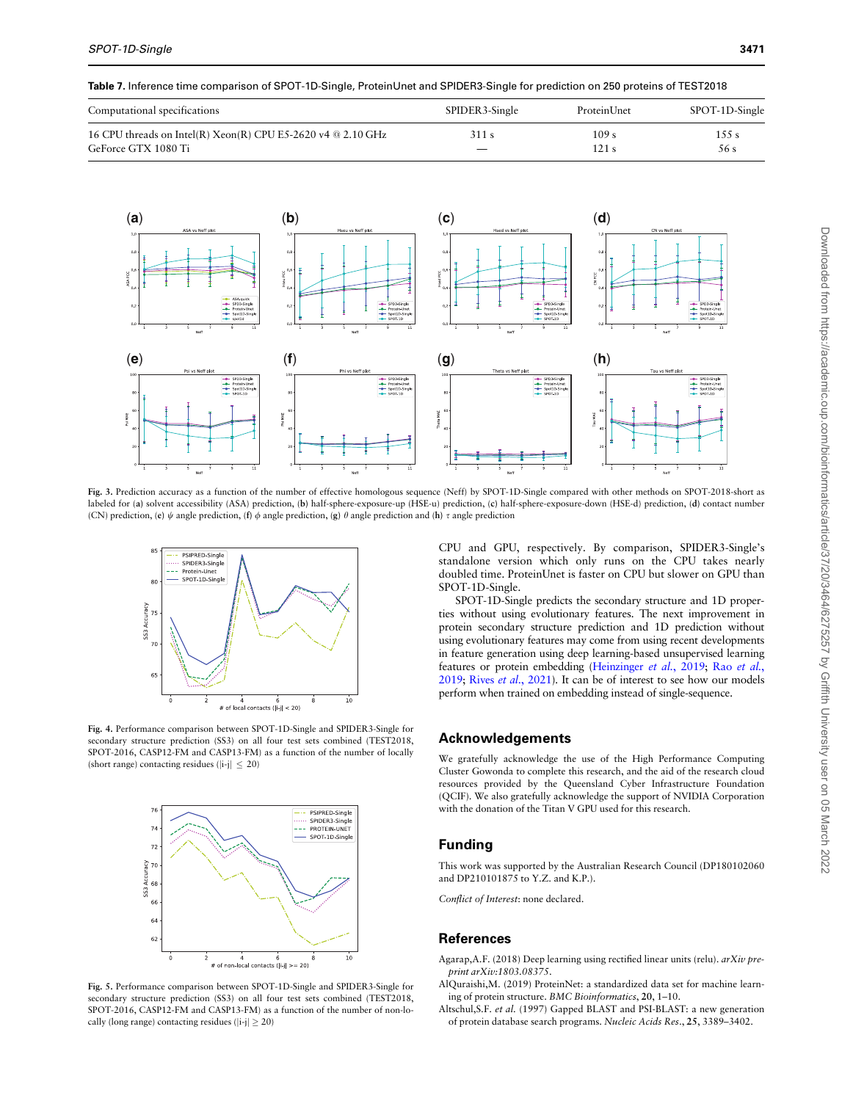<span id="page-7-0"></span>Table 7. Inference time comparison of SPOT-1D-Single, ProteinUnet and SPIDER3-Single for prediction on 250 proteins of TEST2018

| Computational specifications                                     | SPIDER3-Single | ProteinUnet      | SPOT-1D-Single |
|------------------------------------------------------------------|----------------|------------------|----------------|
| 16 CPU threads on Intel(R) $Xeon(R)$ CPU E5-2620 v4 $@ 2.10$ GHz | 311 s          | 109 <sub>s</sub> | $1.5.5$ s      |
| GeForce GTX 1080 Ti                                              |                | 121 s            | 56 s           |



Fig. 3. Prediction accuracy as a function of the number of effective homologous sequence (Neff) by SPOT-1D-Single compared with other methods on SPOT-2018-short as labeled for (a) solvent accessibility (ASA) prediction, (b) half-sphere-exposure-up (HSE-u) prediction, (c) half-sphere-exposure-down (HSE-d) prediction, (d) contact number (CN) prediction, (e)  $\psi$  angle prediction, (f)  $\phi$  angle prediction, (g)  $\theta$  angle prediction and (h)  $\tau$  angle prediction



Fig. 4. Performance comparison between SPOT-1D-Single and SPIDER3-Single for secondary structure prediction (SS3) on all four test sets combined (TEST2018, SPOT-2016, CASP12-FM and CASP13-FM) as a function of the number of locally (short range) contacting residues  $(|i-j| < 20)$ 



Fig. 5. Performance comparison between SPOT-1D-Single and SPIDER3-Single for secondary structure prediction (SS3) on all four test sets combined (TEST2018, SPOT-2016, CASP12-FM and CASP13-FM) as a function of the number of non-locally (long range) contacting residues ( $|i-j| \ge 20$ )

CPU and GPU, respectively. By comparison, SPIDER3-Single's standalone version which only runs on the CPU takes nearly doubled time. ProteinUnet is faster on CPU but slower on GPU than SPOT-1D-Single.

SPOT-1D-Single predicts the secondary structure and 1D properties without using evolutionary features. The next improvement in protein secondary structure prediction and 1D prediction without using evolutionary features may come from using recent developments in feature generation using deep learning-based unsupervised learning features or protein embedding ([Heinzinger](#page-8-0) et al., 2019; Rao [et al.](#page-8-0), [2019](#page-8-0); Rives et al.[, 2021](#page-8-0)). It can be of interest to see how our models perform when trained on embedding instead of single-sequence.

# Acknowledgements

We gratefully acknowledge the use of the High Performance Computing Cluster Gowonda to complete this research, and the aid of the research cloud resources provided by the Queensland Cyber Infrastructure Foundation (QCIF). We also gratefully acknowledge the support of NVIDIA Corporation with the donation of the Titan V GPU used for this research.

# Funding

This work was supported by the Australian Research Council (DP180102060 and DP210101875 to Y.Z. and K.P.).

Conflict of Interest: none declared.

# References

- Agarap,A.F. (2018) Deep learning using rectified linear units (relu). arXiv preprint arXiv:1803.08375.
- AlQuraishi,M. (2019) ProteinNet: a standardized data set for machine learning of protein structure. BMC Bioinformatics, 20, 1–10.
- Altschul,S.F. et al. (1997) Gapped BLAST and PSI-BLAST: a new generation of protein database search programs. Nucleic Acids Res., 25, 3389–3402.